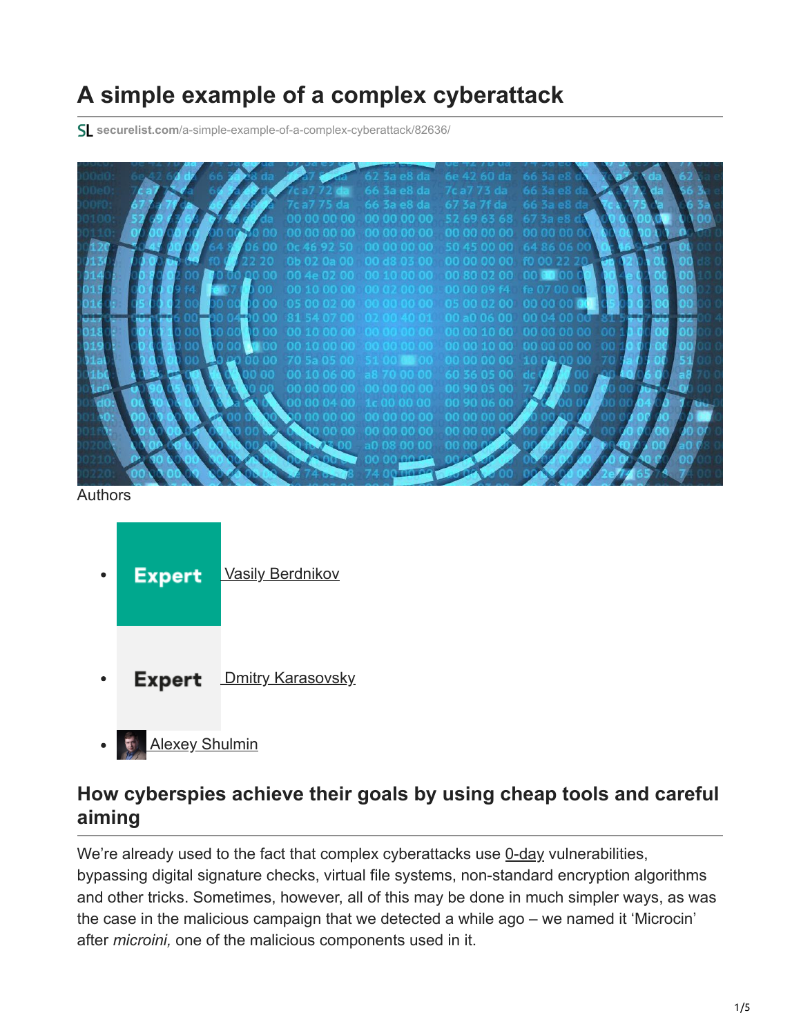## **A simple example of a complex cyberattack**

**securelist.com**[/a-simple-example-of-a-complex-cyberattack/82636/](https://securelist.com/a-simple-example-of-a-complex-cyberattack/82636/)

| $62$ 3a e8 da                          | 6e 42 60 da       |       |  |
|----------------------------------------|-------------------|-------|--|
| 66 3a e8 da 7c a7 73 da                |                   |       |  |
| da 663a e8da 673a 7f da                |                   | 66.3a |  |
| 00 00 00 00 00 52 69 63 68             |                   |       |  |
|                                        | 00 00 00 00       |       |  |
| 92 50 00 00 00 00 50 45 00 00 64 86 0  |                   |       |  |
| 0a 00 00 d8 03 00 00 00 00 00 f0 00    |                   |       |  |
|                                        | 00 80 02 00       |       |  |
| 0 00 00 00 02 00 00 00 00 09 f4 fe 07  |                   |       |  |
| 05 00 02 00 00 00 00 00 05 00 02 00 00 |                   |       |  |
|                                        | 00 a0 06 00 00 04 |       |  |
|                                        |                   |       |  |
|                                        |                   |       |  |
|                                        | 00 00 10 00       |       |  |
| <b>SANCOLO COLOR</b>                   | ം വാരവാര വ        |       |  |
|                                        | 60 36 05          |       |  |
|                                        | 00 90 05          |       |  |
|                                        |                   |       |  |
|                                        |                   |       |  |
|                                        |                   |       |  |
|                                        |                   |       |  |
|                                        |                   |       |  |
|                                        |                   |       |  |
|                                        |                   |       |  |

Authors

| <b>Expert</b> | <b>Vasily Berdnikov</b>  |  |  |
|---------------|--------------------------|--|--|
| <b>Expert</b> | <b>Dmitry Karasovsky</b> |  |  |

**[Alexey Shulmin](https://securelist.com/author/alexeyshulmin/)**  $\bullet$ 

## **How cyberspies achieve their goals by using cheap tools and careful aiming**

We're already used to the fact that complex cyberattacks use [0-day](https://encyclopedia.kaspersky.com/glossary/zero-day-exploit/?utm_source=securelist&utm_medium=blog&utm_campaign=termin-explanation) vulnerabilities, bypassing digital signature checks, virtual file systems, non-standard encryption algorithms and other tricks. Sometimes, however, all of this may be done in much simpler ways, as was the case in the malicious campaign that we detected a while ago – we named it 'Microcin' after *microini,* one of the malicious components used in it.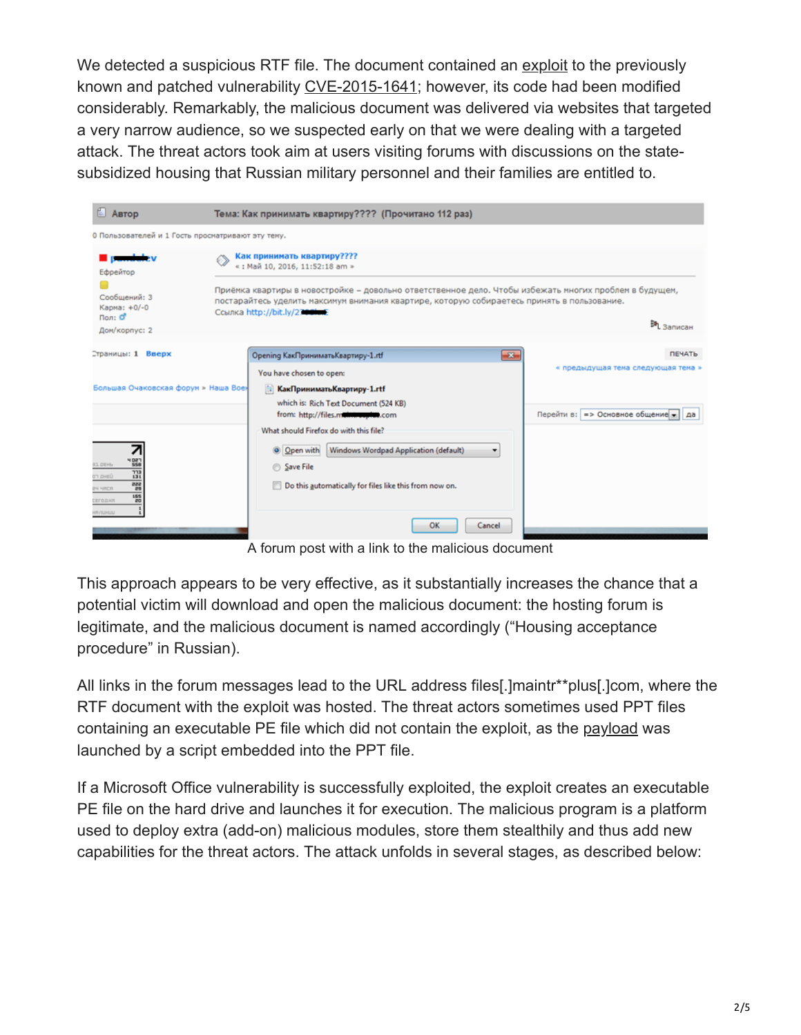We detected a suspicious RTF file. The document contained an [exploit](https://encyclopedia.kaspersky.com/glossary/exploit/?utm_source=securelist&utm_medium=blog&utm_campaign=termin-explanation) to the previously known and patched vulnerability [CVE-2015-1641;](http://www.cve.mitre.org/cgi-bin/cvename.cgi?name=CVE-2015-1641) however, its code had been modified considerably. Remarkably, the malicious document was delivered via websites that targeted a very narrow audience, so we suspected early on that we were dealing with a targeted attack. The threat actors took aim at users visiting forums with discussions on the statesubsidized housing that Russian military personnel and their families are entitled to.

| <b>E</b> ABTOP                                                                                                                                  | Тема: Как принимать квартиру???? (Прочитано 112 раз)                                                                                                                                                                                  |                                                                             |  |  |  |
|-------------------------------------------------------------------------------------------------------------------------------------------------|---------------------------------------------------------------------------------------------------------------------------------------------------------------------------------------------------------------------------------------|-----------------------------------------------------------------------------|--|--|--|
| 0 Пользователей и 1 Гость просматривают эту тему.                                                                                               |                                                                                                                                                                                                                                       |                                                                             |  |  |  |
| Ефрейтор                                                                                                                                        | Как принимать квартиру????<br>«: Май 10, 2016, 11:52:18 am »                                                                                                                                                                          |                                                                             |  |  |  |
| Сообщений: 3<br>Карма: +0/-0<br>Пол: $\sigma$                                                                                                   | Приёмка квартиры в новостройке - довольно ответственное дело. Чтобы избежать многих проблем в будущем,<br>постарайтесь уделить максимум внимания квартире, которую собираетесь принять в пользование.<br>Ссылка http://bit.ly/2700luE |                                                                             |  |  |  |
| Дом/корпус: 2                                                                                                                                   |                                                                                                                                                                                                                                       | <b>EAL</b> Записан                                                          |  |  |  |
| Страницы: 1 Вверх                                                                                                                               | Opening КакПринимать Квартиру-1.rtf<br>$-23$                                                                                                                                                                                          | <b>ПЕЧАТЬ</b>                                                               |  |  |  |
| Большая Очаковская форум » Наша Воен                                                                                                            | You have chosen to open:<br><b>КакПринимать Квартиру-1.rtf</b><br>which is: Rich Text Document (524 KB)<br>from: http://files.maintrauptus.com                                                                                        | « предыдущая тема следующая тема »<br>Перейти в: => Основное общение -   да |  |  |  |
| H Dan<br>958<br><b>IL DEHL</b><br>m<br><b>UBHOL FD</b><br>au<br><b>PH NRCR</b><br>25<br><b>SBS</b><br><b>CETO.LKR</b><br>20<br><b>ULIKUN RH</b> | What should Firefox do with this file?<br>Windows Wordpad Application (default)<br>Open with<br>۰<br>Save File<br>Do this automatically for files like this from now on.<br>ок<br>Cancel                                              |                                                                             |  |  |  |

A forum post with a link to the malicious document

This approach appears to be very effective, as it substantially increases the chance that a potential victim will download and open the malicious document: the hosting forum is legitimate, and the malicious document is named accordingly ("Housing acceptance procedure" in Russian).

All links in the forum messages lead to the URL address files[.]maintr\*\*plus[.]com, where the RTF document with the exploit was hosted. The threat actors sometimes used PPT files containing an executable PE file which did not contain the exploit, as the [payload](https://encyclopedia.kaspersky.com/glossary/payload/?utm_source=securelist&utm_medium=blog) was launched by a script embedded into the PPT file.

If a Microsoft Office vulnerability is successfully exploited, the exploit creates an executable PE file on the hard drive and launches it for execution. The malicious program is a platform used to deploy extra (add-on) malicious modules, store them stealthily and thus add new capabilities for the threat actors. The attack unfolds in several stages, as described below: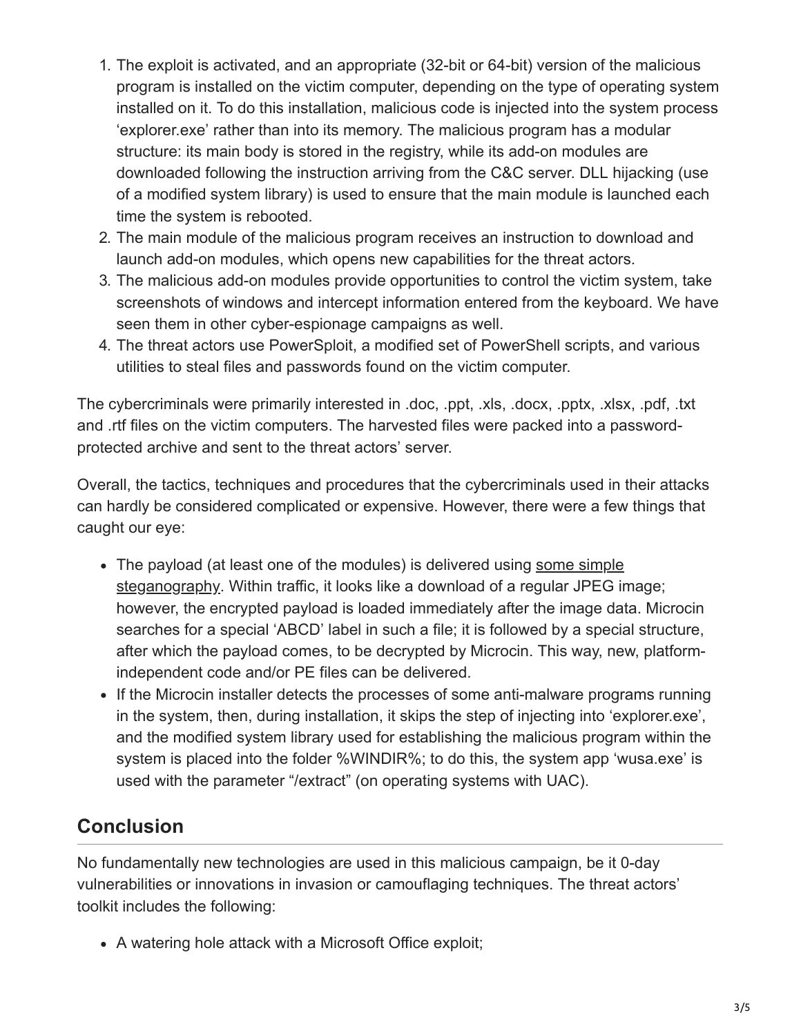- 1. The exploit is activated, and an appropriate (32-bit or 64-bit) version of the malicious program is installed on the victim computer, depending on the type of operating system installed on it. To do this installation, malicious code is injected into the system process 'explorer.exe' rather than into its memory. The malicious program has a modular structure: its main body is stored in the registry, while its add-on modules are downloaded following the instruction arriving from the C&C server. DLL hijacking (use of a modified system library) is used to ensure that the main module is launched each time the system is rebooted.
- 2. The main module of the malicious program receives an instruction to download and launch add-on modules, which opens new capabilities for the threat actors.
- 3. The malicious add-on modules provide opportunities to control the victim system, take screenshots of windows and intercept information entered from the keyboard. We have seen them in other cyber-espionage campaigns as well.
- 4. The threat actors use PowerSploit, a modified set of PowerShell scripts, and various utilities to steal files and passwords found on the victim computer.

The cybercriminals were primarily interested in .doc, .ppt, .xls, .docx, .pptx, .xlsx, .pdf, .txt and .rtf files on the victim computers. The harvested files were packed into a passwordprotected archive and sent to the threat actors' server.

Overall, the tactics, techniques and procedures that the cybercriminals used in their attacks can hardly be considered complicated or expensive. However, there were a few things that caught our eye:

- [The payload \(at least one of the modules\) is delivered using some simple](https://securelist.com/steganography-in-contemporary-cyberattacks/79276/) steganography. Within traffic, it looks like a download of a regular JPEG image; however, the encrypted payload is loaded immediately after the image data. Microcin searches for a special 'ABCD' label in such a file; it is followed by a special structure, after which the payload comes, to be decrypted by Microcin. This way, new, platformindependent code and/or PE files can be delivered.
- If the Microcin installer detects the processes of some anti-malware programs running in the system, then, during installation, it skips the step of injecting into 'explorer.exe', and the modified system library used for establishing the malicious program within the system is placed into the folder %WINDIR%; to do this, the system app 'wusa.exe' is used with the parameter "/extract" (on operating systems with UAC).

## **Conclusion**

No fundamentally new technologies are used in this malicious campaign, be it 0-day vulnerabilities or innovations in invasion or camouflaging techniques. The threat actors' toolkit includes the following:

A watering hole attack with a Microsoft Office exploit;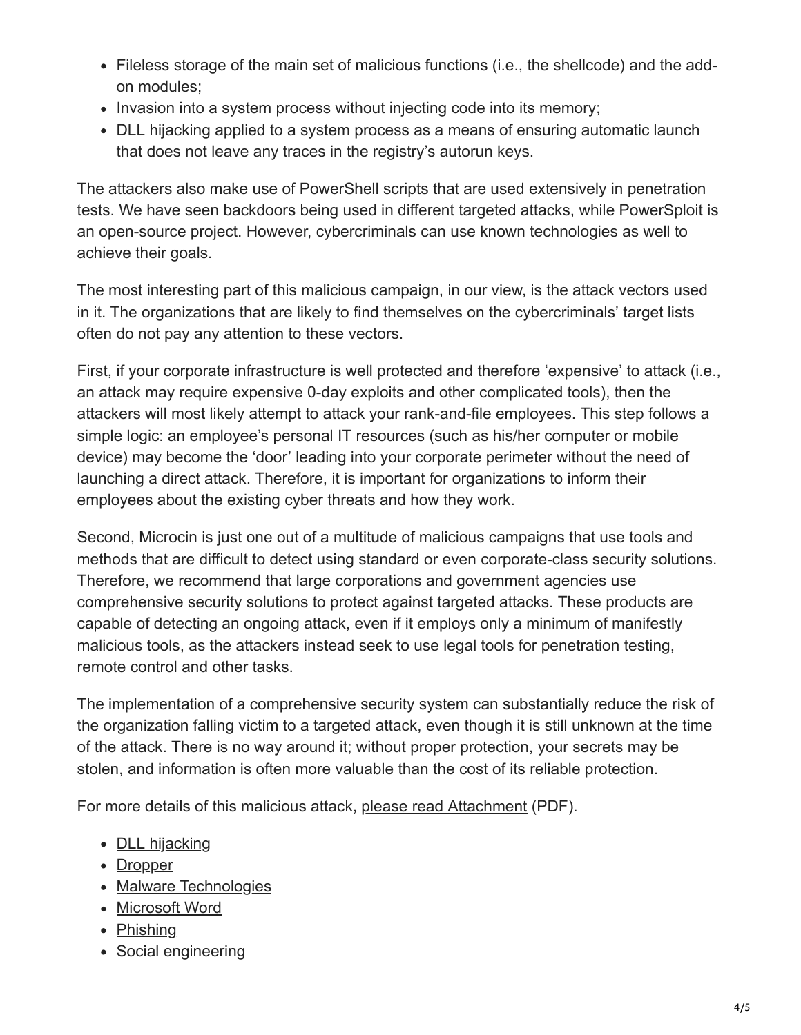- Fileless storage of the main set of malicious functions (i.e., the shellcode) and the addon modules;
- Invasion into a system process without injecting code into its memory;
- DLL hijacking applied to a system process as a means of ensuring automatic launch that does not leave any traces in the registry's autorun keys.

The attackers also make use of PowerShell scripts that are used extensively in penetration tests. We have seen backdoors being used in different targeted attacks, while PowerSploit is an open-source project. However, cybercriminals can use known technologies as well to achieve their goals.

The most interesting part of this malicious campaign, in our view, is the attack vectors used in it. The organizations that are likely to find themselves on the cybercriminals' target lists often do not pay any attention to these vectors.

First, if your corporate infrastructure is well protected and therefore 'expensive' to attack (i.e., an attack may require expensive 0-day exploits and other complicated tools), then the attackers will most likely attempt to attack your rank-and-file employees. This step follows a simple logic: an employee's personal IT resources (such as his/her computer or mobile device) may become the 'door' leading into your corporate perimeter without the need of launching a direct attack. Therefore, it is important for organizations to inform their employees about the existing cyber threats and how they work.

Second, Microcin is just one out of a multitude of malicious campaigns that use tools and methods that are difficult to detect using standard or even corporate-class security solutions. Therefore, we recommend that large corporations and government agencies use comprehensive security solutions to protect against targeted attacks. These products are capable of detecting an ongoing attack, even if it employs only a minimum of manifestly malicious tools, as the attackers instead seek to use legal tools for penetration testing, remote control and other tasks.

The implementation of a comprehensive security system can substantially reduce the risk of the organization falling victim to a targeted attack, even though it is still unknown at the time of the attack. There is no way around it; without proper protection, your secrets may be stolen, and information is often more valuable than the cost of its reliable protection.

For more details of this malicious attack, [please read Attachment](https://media.kasperskycontenthub.com/wp-content/uploads/sites/43/2018/03/07170759/Microcin_Technical_4PDF_eng_final_s.pdf) (PDF).

- [DLL hijacking](https://securelist.com/tag/dll-hijacking/)
- [Dropper](https://securelist.com/tag/dropper/)
- [Malware Technologies](https://securelist.com/tag/malware-technologies/)
- [Microsoft Word](https://securelist.com/tag/microsoft-word/)
- [Phishing](https://securelist.com/tag/phishing/)
- [Social engineering](https://securelist.com/tag/social-engineering/)